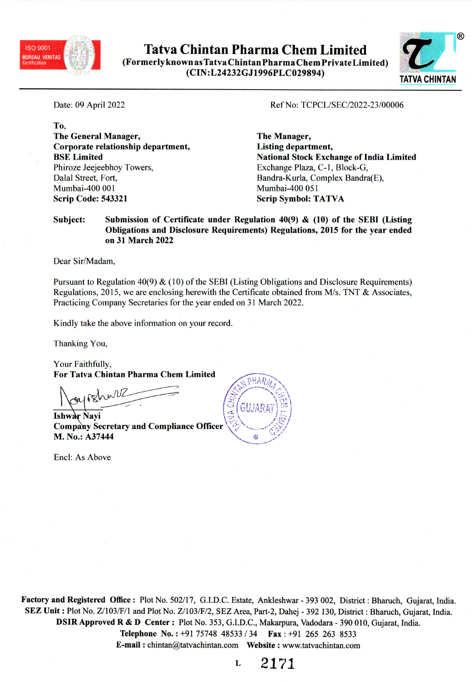

**Tatva Chintan Pharma Chem Limited** (Formerly known as Tatva Chintan Pharma Chem Private Limited) (CIN:L24232GJ1996PLC029894)



Date: 09 April 2022

To. **The General Manager,** Corporate relationship department, **BSE** Limited Phiroze Jeejeebhoy Towers. Dalal Street, Fort, Mumbai-400 001 **Scrip Code: 543321** 

### Ref No: TCPCL/SEC/2022-23/00006

The Manager, **Listing department, National Stock Exchange of India Limited** Exchange Plaza, C-1, Block-G, Bandra-Kurla, Complex Bandra(E), Mumbai-400 051 **Scrip Symbol: TATVA** 

#### Submission of Certificate under Regulation 40(9)  $\&$  (10) of the SEBI (Listing Subject: Obligations and Disclosure Requirements) Regulations, 2015 for the year ended on 31 March 2022

Dear Sir/Madam,

Pursuant to Regulation 40(9)  $\&$  (10) of the SEBI (Listing Obligations and Disclosure Requirements) Regulations, 2015, we are enclosing herewith the Certificate obtained from M/s. TNT & Associates, Practicing Company Secretaries for the year ended on 31 March 2022.

Kindly take the above information on your record.

Thanking You,

Your Faithfully, **For Tatva Chintan Pharma Chem Limited** 

**Ishwar Navi Company Secretary and Compliance Officer** M. No.: A37444

Encl: As Above



Factory and Registered Office: Plot No. 502/17, G.I.D.C. Estate, Ankleshwar - 393 002, District: Bharuch, Gujarat, India. SEZ Unit: Plot No. Z/103/F/1 and Plot No. Z/103/F/2, SEZ Area, Part-2, Dahej - 392 130, District: Bharuch, Gujarat, India. DSIR Approved R & D Center: Plot No. 353, G.I.D.C., Makarpura, Vadodara - 390 010, Gujarat, India. Telephone No.: +91 75748 48533 / 34 Fax: +91 265 263 8533 

2171 L